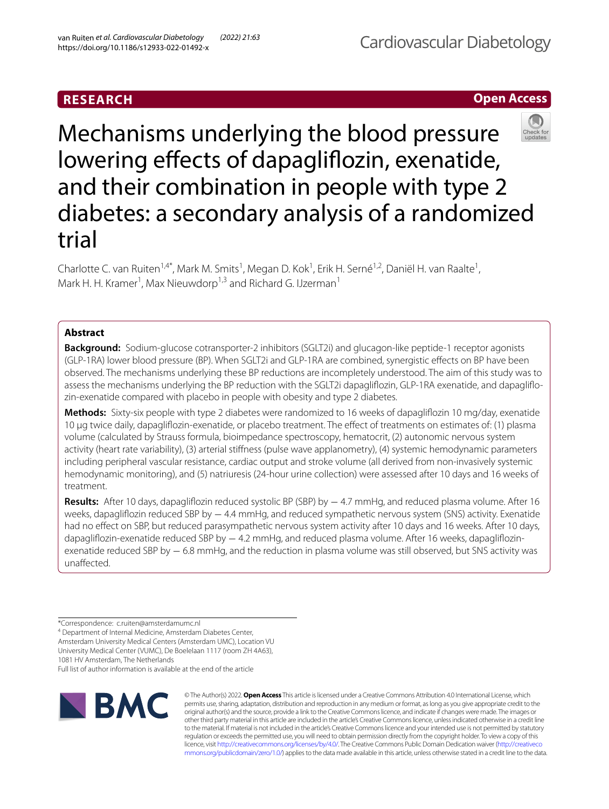# **RESEARCH**

# **Open Access**



Mechanisms underlying the blood pressure lowering effects of dapagliflozin, exenatide, and their combination in people with type 2 diabetes: a secondary analysis of a randomized trial

Charlotte C. van Ruiten<sup>1,4\*</sup>, Mark M. Smits<sup>1</sup>, Megan D. Kok<sup>1</sup>, Erik H. Serné<sup>1,2</sup>, Daniël H. van Raalte<sup>1</sup>, Mark H. H. Kramer<sup>1</sup>, Max Nieuwdorp<sup>1,3</sup> and Richard G. IJzerman<sup>1</sup>

# **Abstract**

**Background:** Sodium-glucose cotransporter-2 inhibitors (SGLT2i) and glucagon-like peptide-1 receptor agonists (GLP-1RA) lower blood pressure (BP). When SGLT2i and GLP-1RA are combined, synergistic efects on BP have been observed. The mechanisms underlying these BP reductions are incompletely understood. The aim of this study was to assess the mechanisms underlying the BP reduction with the SGLT2i dapaglifozin, GLP-1RA exenatide, and dapaglifozin-exenatide compared with placebo in people with obesity and type 2 diabetes.

**Methods:** Sixty-six people with type 2 diabetes were randomized to 16 weeks of dapaglifozin 10 mg/day, exenatide 10 µg twice daily, dapaglifozin-exenatide, or placebo treatment. The efect of treatments on estimates of: (1) plasma volume (calculated by Strauss formula, bioimpedance spectroscopy, hematocrit, (2) autonomic nervous system activity (heart rate variability), (3) arterial stifness (pulse wave applanometry), (4) systemic hemodynamic parameters including peripheral vascular resistance, cardiac output and stroke volume (all derived from non-invasively systemic hemodynamic monitoring), and (5) natriuresis (24-hour urine collection) were assessed after 10 days and 16 weeks of treatment.

**Results:** After 10 days, dapaglifozin reduced systolic BP (SBP) by − 4.7 mmHg, and reduced plasma volume. After 16 weeks, dapagliflozin reduced SBP by − 4.4 mmHg, and reduced sympathetic nervous system (SNS) activity. Exenatide had no effect on SBP, but reduced parasympathetic nervous system activity after 10 days and 16 weeks. After 10 days, dapagliflozin-exenatide reduced SBP by − 4.2 mmHg, and reduced plasma volume. After 16 weeks, dapagliflozinexenatide reduced SBP by − 6.8 mmHg, and the reduction in plasma volume was still observed, but SNS activity was unafected.

<sup>4</sup> Department of Internal Medicine, Amsterdam Diabetes Center, Amsterdam University Medical Centers (Amsterdam UMC), Location VU University Medical Center (VUMC), De Boelelaan 1117 (room ZH 4A63), 1081 HV Amsterdam, The Netherlands

Full list of author information is available at the end of the article



© The Author(s) 2022. **Open Access** This article is licensed under a Creative Commons Attribution 4.0 International License, which permits use, sharing, adaptation, distribution and reproduction in any medium or format, as long as you give appropriate credit to the original author(s) and the source, provide a link to the Creative Commons licence, and indicate if changes were made. The images or other third party material in this article are included in the article's Creative Commons licence, unless indicated otherwise in a credit line to the material. If material is not included in the article's Creative Commons licence and your intended use is not permitted by statutory regulation or exceeds the permitted use, you will need to obtain permission directly from the copyright holder. To view a copy of this licence, visit [http://creativecommons.org/licenses/by/4.0/.](http://creativecommons.org/licenses/by/4.0/) The Creative Commons Public Domain Dedication waiver ([http://creativeco](http://creativecommons.org/publicdomain/zero/1.0/) [mmons.org/publicdomain/zero/1.0/](http://creativecommons.org/publicdomain/zero/1.0/)) applies to the data made available in this article, unless otherwise stated in a credit line to the data.

<sup>\*</sup>Correspondence: c.ruiten@amsterdamumc.nl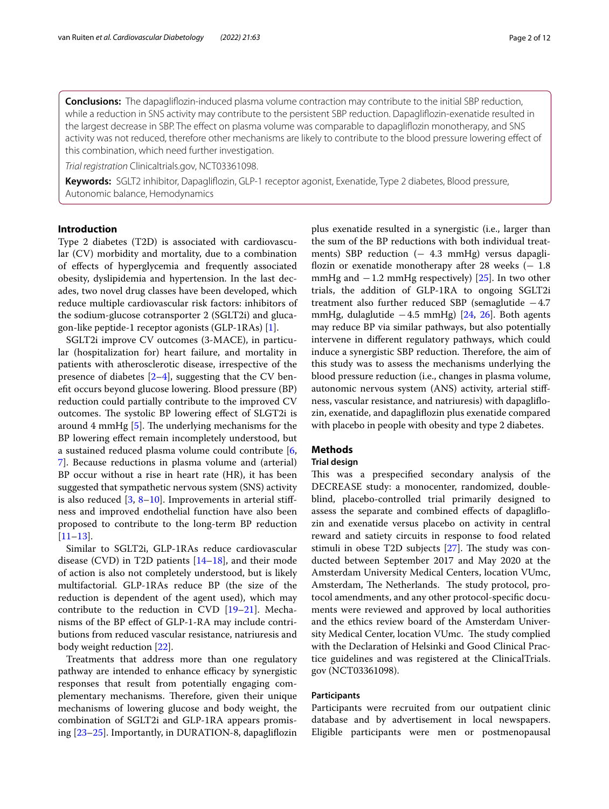**Conclusions:** The dapaglifozin-induced plasma volume contraction may contribute to the initial SBP reduction, while a reduction in SNS activity may contribute to the persistent SBP reduction. Dapaglifozin-exenatide resulted in the largest decrease in SBP. The efect on plasma volume was comparable to dapaglifozin monotherapy, and SNS activity was not reduced, therefore other mechanisms are likely to contribute to the blood pressure lowering efect of this combination, which need further investigation.

*Trial registration* Clinicaltrials.gov, NCT03361098.

**Keywords:** SGLT2 inhibitor, Dapaglifozin, GLP-1 receptor agonist, Exenatide, Type 2 diabetes, Blood pressure, Autonomic balance, Hemodynamics

# **Introduction**

Type 2 diabetes (T2D) is associated with cardiovascular (CV) morbidity and mortality, due to a combination of efects of hyperglycemia and frequently associated obesity, dyslipidemia and hypertension. In the last decades, two novel drug classes have been developed, which reduce multiple cardiovascular risk factors: inhibitors of the sodium-glucose cotransporter 2 (SGLT2i) and glucagon-like peptide-1 receptor agonists (GLP-1RAs) [[1](#page-9-0)].

SGLT2i improve CV outcomes (3-MACE), in particular (hospitalization for) heart failure, and mortality in patients with atherosclerotic disease, irrespective of the presence of diabetes  $[2-4]$  $[2-4]$ , suggesting that the CV beneft occurs beyond glucose lowering. Blood pressure (BP) reduction could partially contribute to the improved CV outcomes. The systolic BP lowering effect of SLGT2i is around 4 mmHg  $[5]$  $[5]$ . The underlying mechanisms for the BP lowering efect remain incompletely understood, but a sustained reduced plasma volume could contribute [\[6](#page-9-4), [7\]](#page-9-5). Because reductions in plasma volume and (arterial) BP occur without a rise in heart rate (HR), it has been suggested that sympathetic nervous system (SNS) activity is also reduced  $[3, 8-10]$  $[3, 8-10]$  $[3, 8-10]$  $[3, 8-10]$ . Improvements in arterial stiffness and improved endothelial function have also been proposed to contribute to the long-term BP reduction [[11–](#page-9-9)[13](#page-9-10)].

Similar to SGLT2i, GLP-1RAs reduce cardiovascular disease (CVD) in T2D patients  $[14–18]$  $[14–18]$ , and their mode of action is also not completely understood, but is likely multifactorial. GLP-1RAs reduce BP (the size of the reduction is dependent of the agent used), which may contribute to the reduction in CVD  $[19-21]$  $[19-21]$ . Mechanisms of the BP efect of GLP-1-RA may include contributions from reduced vascular resistance, natriuresis and body weight reduction [\[22](#page-10-4)].

Treatments that address more than one regulatory pathway are intended to enhance efficacy by synergistic responses that result from potentially engaging complementary mechanisms. Therefore, given their unique mechanisms of lowering glucose and body weight, the combination of SGLT2i and GLP-1RA appears promising [\[23–](#page-10-5)[25\]](#page-10-6). Importantly, in DURATION-8, dapaglifozin plus exenatide resulted in a synergistic (i.e., larger than the sum of the BP reductions with both individual treatments) SBP reduction (− 4.3 mmHg) versus dapagliflozin or exenatide monotherapy after 28 weeks  $(-1.8)$ mmHg and  $-1.2$  mmHg respectively) [\[25](#page-10-6)]. In two other trials, the addition of GLP-1RA to ongoing SGLT2i treatment also further reduced SBP (semaglutide −4.7 mmHg, dulaglutide −4.5 mmHg) [[24](#page-10-7), [26](#page-10-8)]. Both agents may reduce BP via similar pathways, but also potentially intervene in diferent regulatory pathways, which could induce a synergistic SBP reduction. Therefore, the aim of this study was to assess the mechanisms underlying the blood pressure reduction (i.e., changes in plasma volume, autonomic nervous system (ANS) activity, arterial stifness, vascular resistance, and natriuresis) with dapaglifozin, exenatide, and dapaglifozin plus exenatide compared with placebo in people with obesity and type 2 diabetes.

# **Methods**

# **Trial design**

This was a prespecified secondary analysis of the DECREASE study: a monocenter, randomized, doubleblind, placebo-controlled trial primarily designed to assess the separate and combined efects of dapaglifozin and exenatide versus placebo on activity in central reward and satiety circuits in response to food related stimuli in obese T2D subjects  $[27]$  $[27]$ . The study was conducted between September 2017 and May 2020 at the Amsterdam University Medical Centers, location VUmc, Amsterdam, The Netherlands. The study protocol, protocol amendments, and any other protocol-specifc documents were reviewed and approved by local authorities and the ethics review board of the Amsterdam University Medical Center, location VUmc. The study complied with the Declaration of Helsinki and Good Clinical Practice guidelines and was registered at the ClinicalTrials. gov (NCT03361098).

# **Participants**

Participants were recruited from our outpatient clinic database and by advertisement in local newspapers. Eligible participants were men or postmenopausal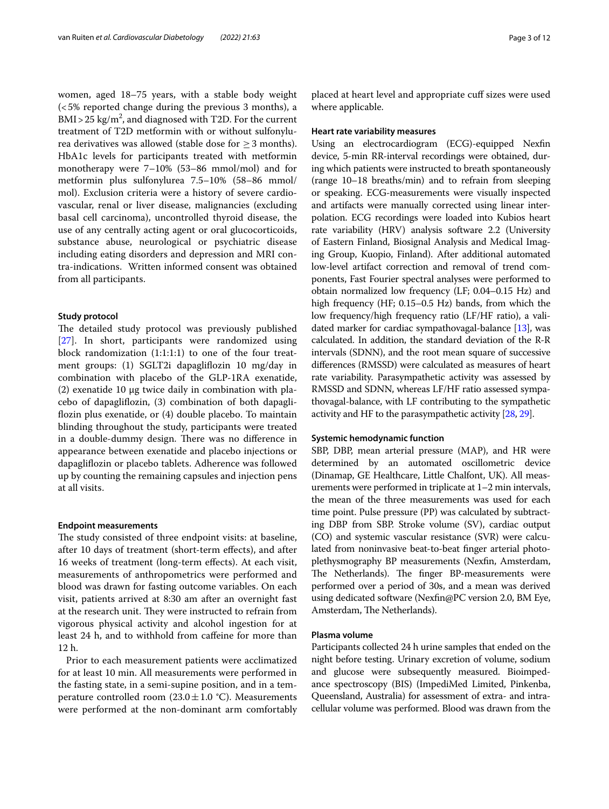women, aged 18–75 years, with a stable body weight (<5% reported change during the previous 3 months), a  $\text{BMI} > 25 \text{ kg/m}^2$ , and diagnosed with T2D. For the current treatment of T2D metformin with or without sulfonylurea derivatives was allowed (stable dose for  $\geq$  3 months). HbA1c levels for participants treated with metformin monotherapy were 7–10% (53–86 mmol/mol) and for metformin plus sulfonylurea 7.5–10% (58–86 mmol/ mol). Exclusion criteria were a history of severe cardiovascular, renal or liver disease, malignancies (excluding basal cell carcinoma), uncontrolled thyroid disease, the use of any centrally acting agent or oral glucocorticoids, substance abuse, neurological or psychiatric disease including eating disorders and depression and MRI contra-indications. Written informed consent was obtained from all participants.

# **Study protocol**

The detailed study protocol was previously published [[27\]](#page-10-9). In short, participants were randomized using block randomization (1:1:1:1) to one of the four treatment groups: (1) SGLT2i dapaglifozin 10 mg/day in combination with placebo of the GLP-1RA exenatide, (2) exenatide 10 µg twice daily in combination with placebo of dapaglifozin, (3) combination of both dapaglifozin plus exenatide, or (4) double placebo. To maintain blinding throughout the study, participants were treated in a double-dummy design. There was no difference in appearance between exenatide and placebo injections or dapaglifozin or placebo tablets. Adherence was followed up by counting the remaining capsules and injection pens at all visits.

### **Endpoint measurements**

The study consisted of three endpoint visits: at baseline, after 10 days of treatment (short-term efects), and after 16 weeks of treatment (long-term efects). At each visit, measurements of anthropometrics were performed and blood was drawn for fasting outcome variables. On each visit, patients arrived at 8:30 am after an overnight fast at the research unit. They were instructed to refrain from vigorous physical activity and alcohol ingestion for at least 24 h, and to withhold from cafeine for more than 12 h.

Prior to each measurement patients were acclimatized for at least 10 min. All measurements were performed in the fasting state, in a semi-supine position, and in a temperature controlled room (23.0 $\pm$ 1.0 °C). Measurements were performed at the non-dominant arm comfortably placed at heart level and appropriate cuf sizes were used where applicable.

## **Heart rate variability measures**

Using an electrocardiogram (ECG)-equipped Nexfn device, 5-min RR-interval recordings were obtained, during which patients were instructed to breath spontaneously (range 10–18 breaths/min) and to refrain from sleeping or speaking. ECG-measurements were visually inspected and artifacts were manually corrected using linear interpolation. ECG recordings were loaded into Kubios heart rate variability (HRV) analysis software 2.2 (University of Eastern Finland, Biosignal Analysis and Medical Imaging Group, Kuopio, Finland). After additional automated low-level artifact correction and removal of trend components, Fast Fourier spectral analyses were performed to obtain normalized low frequency (LF; 0.04–0.15 Hz) and high frequency (HF; 0.15–0.5 Hz) bands, from which the low frequency/high frequency ratio (LF/HF ratio), a validated marker for cardiac sympathovagal-balance [[13](#page-9-10)], was calculated. In addition, the standard deviation of the R-R intervals (SDNN), and the root mean square of successive diferences (RMSSD) were calculated as measures of heart rate variability. Parasympathetic activity was assessed by RMSSD and SDNN, whereas LF/HF ratio assessed sympathovagal-balance, with LF contributing to the sympathetic activity and HF to the parasympathetic activity [\[28,](#page-10-10) [29\]](#page-10-11).

## **Systemic hemodynamic function**

SBP, DBP, mean arterial pressure (MAP), and HR were determined by an automated oscillometric device (Dinamap, GE Healthcare, Little Chalfont, UK). All measurements were performed in triplicate at 1–2 min intervals, the mean of the three measurements was used for each time point. Pulse pressure (PP) was calculated by subtracting DBP from SBP. Stroke volume (SV), cardiac output (CO) and systemic vascular resistance (SVR) were calculated from noninvasive beat-to-beat fnger arterial photoplethysmography BP measurements (Nexfn, Amsterdam, The Netherlands). The finger BP-measurements were performed over a period of 30s, and a mean was derived using dedicated software (Nexfn@PC version 2.0, BM Eye, Amsterdam, The Netherlands).

# **Plasma volume**

Participants collected 24 h urine samples that ended on the night before testing. Urinary excretion of volume, sodium and glucose were subsequently measured. Bioimpedance spectroscopy (BIS) (ImpediMed Limited, Pinkenba, Queensland, Australia) for assessment of extra- and intracellular volume was performed. Blood was drawn from the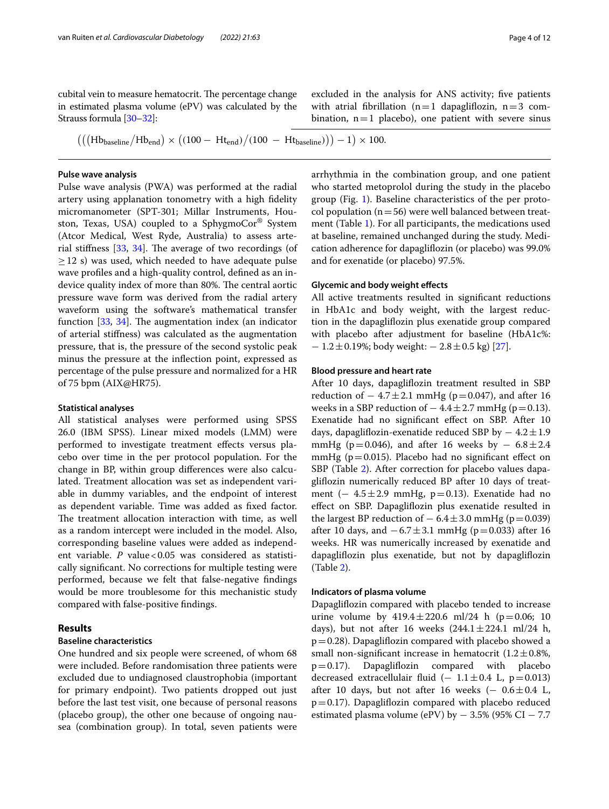cubital vein to measure hematocrit. The percentage change in estimated plasma volume (ePV) was calculated by the Strauss formula [\[30](#page-10-12)[–32\]](#page-10-13):

excluded in the analysis for ANS activity; fve patients with atrial fibrillation ( $n=1$  dapagliflozin,  $n=3$  combination,  $n=1$  placebo), one patient with severe sinus

 $(((Hb<sub>baseline</sub>/Hb<sub>end</sub>) \times ((100 - Ht<sub>end</sub>)/(100 - Ht<sub>baseline</sub>))) - 1) \times 100.$ 

## **Pulse wave analysis**

Pulse wave analysis (PWA) was performed at the radial artery using applanation tonometry with a high fdelity micromanometer (SPT-301; Millar Instruments, Houston, Texas, USA) coupled to a SphygmoCor® System (Atcor Medical, West Ryde, Australia) to assess arterial stiffness  $[33, 34]$  $[33, 34]$  $[33, 34]$  $[33, 34]$  $[33, 34]$ . The average of two recordings (of  $\geq$  12 s) was used, which needed to have adequate pulse wave profles and a high-quality control, defned as an indevice quality index of more than 80%. The central aortic pressure wave form was derived from the radial artery waveform using the software's mathematical transfer function  $[33, 34]$  $[33, 34]$  $[33, 34]$  $[33, 34]$ . The augmentation index (an indicator of arterial stifness) was calculated as the augmentation pressure, that is, the pressure of the second systolic peak minus the pressure at the infection point, expressed as percentage of the pulse pressure and normalized for a HR of 75 bpm (AIX@HR75).

### **Statistical analyses**

All statistical analyses were performed using SPSS 26.0 (IBM SPSS). Linear mixed models (LMM) were performed to investigate treatment efects versus placebo over time in the per protocol population. For the change in BP, within group diferences were also calculated. Treatment allocation was set as independent variable in dummy variables, and the endpoint of interest as dependent variable. Time was added as fxed factor. The treatment allocation interaction with time, as well as a random intercept were included in the model. Also, corresponding baseline values were added as independent variable. *P* value < 0.05 was considered as statistically signifcant. No corrections for multiple testing were performed, because we felt that false-negative fndings would be more troublesome for this mechanistic study compared with false-positive fndings.

# **Results**

# **Baseline characteristics**

One hundred and six people were screened, of whom 68 were included. Before randomisation three patients were excluded due to undiagnosed claustrophobia (important for primary endpoint). Two patients dropped out just before the last test visit, one because of personal reasons (placebo group), the other one because of ongoing nausea (combination group). In total, seven patients were arrhythmia in the combination group, and one patient who started metoprolol during the study in the placebo group (Fig. [1\)](#page-4-0). Baseline characteristics of the per protocol population  $(n=56)$  were well balanced between treatment (Table [1](#page-5-0)). For all participants, the medications used at baseline, remained unchanged during the study. Medication adherence for dapaglifozin (or placebo) was 99.0% and for exenatide (or placebo) 97.5%.

# **Glycemic and body weight efects**

All active treatments resulted in signifcant reductions in HbA1c and body weight, with the largest reduction in the dapaglifozin plus exenatide group compared with placebo after adjustment for baseline (HbA1c%:  $-1.2 \pm 0.19$ %; body weight:  $-2.8 \pm 0.5$  kg) [[27\]](#page-10-9).

### **Blood pressure and heart rate**

After 10 days, dapaglifozin treatment resulted in SBP reduction of  $-4.7 \pm 2.1$  mmHg (p=0.047), and after 16 weeks in a SBP reduction of  $-4.4 \pm 2.7$  mmHg (p=0.13). Exenatide had no signifcant efect on SBP. After 10 days, dapagliflozin-exenatide reduced SBP by  $-4.2 \pm 1.9$ mmHg (p=0.046), and after 16 weeks by  $-6.8 \pm 2.4$ mmHg ( $p=0.015$ ). Placebo had no significant effect on SBP (Table [2](#page-5-1)). After correction for placebo values dapaglifozin numerically reduced BP after 10 days of treatment ( $-4.5 \pm 2.9$  mmHg, p=0.13). Exenatide had no efect on SBP. Dapaglifozin plus exenatide resulted in the largest BP reduction of  $-6.4 \pm 3.0$  mmHg (p=0.039) after 10 days, and  $-6.7 \pm 3.1$  mmHg (p=0.033) after 16 weeks. HR was numerically increased by exenatide and dapaglifozin plus exenatide, but not by dapaglifozin (Table [2\)](#page-5-1).

### **Indicators of plasma volume**

Dapaglifozin compared with placebo tended to increase urine volume by  $419.4 \pm 220.6$  ml/24 h (p=0.06; 10 days), but not after 16 weeks  $(244.1 \pm 224.1 \text{ ml}/24 \text{ h}$ ,  $p=0.28$ ). Dapagliflozin compared with placebo showed a small non-significant increase in hematocrit  $(1.2 \pm 0.8\%)$ <br>p=0.17). Dapagliflozin compared with placebo compared with placebo decreased extracellulair fluid (−  $1.1 \pm 0.4$  L, p=0.013) after 10 days, but not after 16 weeks ( $-$  0.6 $\pm$ 0.4 L,  $p=0.17$ ). Dapagliflozin compared with placebo reduced estimated plasma volume (ePV) by  $-$  3.5% (95% CI  $-$  7.7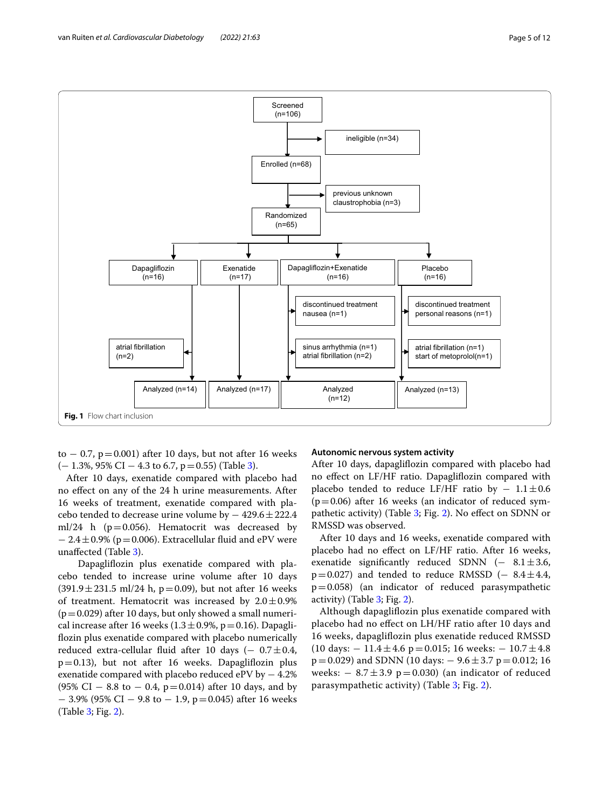

<span id="page-4-0"></span>to  $-0.7$ , p=0.001) after 10 days, but not after 16 weeks  $(-1.3\%, 95\% \text{ CI} - 4.3 \text{ to } 6.7, \text{p} = 0.55)$  (Table [3](#page-6-0)).

After 10 days, exenatide compared with placebo had no efect on any of the 24 h urine measurements. After 16 weeks of treatment, exenatide compared with placebo tended to decrease urine volume by  $-429.6 \pm 222.4$ ml/24 h ( $p=0.056$ ). Hematocrit was decreased by  $-2.4\pm0.9\%$  (p=0.006). Extracellular fluid and ePV were unafected (Table [3\)](#page-6-0).

 Dapaglifozin plus exenatide compared with placebo tended to increase urine volume after 10 days  $(391.9 \pm 231.5 \text{ ml}/24 \text{ h}, p=0.09)$ , but not after 16 weeks of treatment. Hematocrit was increased by  $2.0 \pm 0.9\%$  $(p=0.029)$  after 10 days, but only showed a small numerical increase after 16 weeks ( $1.3 \pm 0.9$ %, p=0.16). Dapaglifozin plus exenatide compared with placebo numerically reduced extra-cellular fluid after 10 days ( $-$  0.7 $\pm$ 0.4, p=0.13), but not after 16 weeks. Dapaglifozin plus exenatide compared with placebo reduced ePV by − 4.2%  $(95\% \text{ CI} - 8.8 \text{ to } -0.4, \text{ p}=0.014)$  after 10 days, and by  $-$  3.9% (95% CI  $-$  9.8 to  $-$  1.9, p=0.045) after 16 weeks (Table [3](#page-6-0); Fig. [2](#page-7-0)).

### **Autonomic nervous system activity**

After 10 days, dapaglifozin compared with placebo had no efect on LF/HF ratio. Dapaglifozin compared with placebo tended to reduce LF/HF ratio by  $-1.1 \pm 0.6$  $(p=0.06)$  after 16 weeks (an indicator of reduced sym-pathetic activity) (Table [3;](#page-6-0) Fig. [2](#page-7-0)). No effect on SDNN or RMSSD was observed.

After 10 days and 16 weeks, exenatide compared with placebo had no efect on LF/HF ratio. After 16 weeks, exenatide significantly reduced SDNN  $(- 8.1 \pm 3.6,$  $p=0.027$ ) and tended to reduce RMSSD (-  $8.4 \pm 4.4$ ,  $p=0.058$ ) (an indicator of reduced parasympathetic activity) (Table [3;](#page-6-0) Fig. [2](#page-7-0)).

Although dapaglifozin plus exenatide compared with placebo had no efect on LH/HF ratio after 10 days and 16 weeks, dapaglifozin plus exenatide reduced RMSSD (10 days:  $-11.4 \pm 4.6$  p=0.015; 16 weeks:  $-10.7 \pm 4.8$  $p=0.029$ ) and SDNN (10 days:  $-9.6 \pm 3.7$  p=0.012; 16 weeks:  $-8.7 \pm 3.9$  p=0.030) (an indicator of reduced parasympathetic activity) (Table [3;](#page-6-0) Fig. [2](#page-7-0)).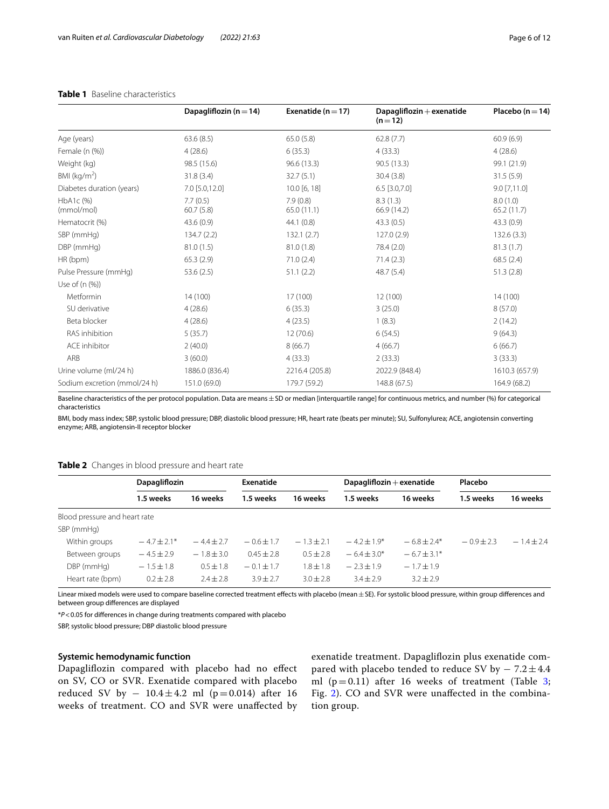|                              | Dapagliflozin ( $n = 14$ ) | Exenatide ( $n = 17$ ) | Dapagliflozin $+$ exenatide<br>$(n=12)$ | Placebo ( $n = 14$ )   |
|------------------------------|----------------------------|------------------------|-----------------------------------------|------------------------|
| Age (years)                  | 63.6(8.5)                  | 65.0(5.8)              | 62.8(7.7)                               | 60.9(6.9)              |
| Female (n (%))               | 4(28.6)                    | 6(35.3)                | 4(33.3)                                 | 4(28.6)                |
| Weight (kg)                  | 98.5 (15.6)                | 96.6 (13.3)            | 90.5 (13.3)                             | 99.1 (21.9)            |
| BMI ( $kg/m2$ )              | 31.8(3.4)                  | 32.7(5.1)              | 30.4(3.8)                               | 31.5(5.9)              |
| Diabetes duration (years)    | 7.0 [5.0,12.0]             | 10.0 [6, 18]           | $6.5$ [3.0,7.0]                         | $9.0$ [7,11.0]         |
| HbA1c (%)<br>(mmol/mol)      | 7.7(0.5)<br>60.7(5.8)      | 7.9(0.8)<br>65.0(11.1) | 8.3(1.3)<br>66.9 (14.2)                 | 8.0(1.0)<br>65.2(11.7) |
| Hematocrit (%)               | 43.6(0.9)                  | 44.1(0.8)              | 43.3 (0.5)                              | 43.3(0.9)              |
| SBP (mmHg)                   | 134.7(2.2)                 | 132.1(2.7)             | 127.0(2.9)                              | 132.6(3.3)             |
| DBP (mmHg)                   | 81.0(1.5)                  | 81.0(1.8)              | 78.4 (2.0)                              | 81.3(1.7)              |
| HR (bpm)                     | 65.3(2.9)                  | 71.0(2.4)              | 71.4(2.3)                               | 68.5(2.4)              |
| Pulse Pressure (mmHg)        | 53.6(2.5)                  | 51.1(2.2)              | 48.7 (5.4)                              | 51.3(2.8)              |
| Use of $(n (%))$             |                            |                        |                                         |                        |
| Metformin                    | 14 (100)                   | 17 (100)               | 12 (100)                                | 14 (100)               |
| SU derivative                | 4(28.6)                    | 6(35.3)                | 3(25.0)                                 | 8(57.0)                |
| Beta blocker                 | 4(28.6)                    | 4(23.5)                | 1(8.3)                                  | 2(14.2)                |
| RAS inhibition               | 5(35.7)                    | 12(70.6)               | 6(54.5)                                 | 9(64.3)                |
| ACE inhibitor                | 2(40.0)                    | 8(66.7)                | 4(66.7)                                 | 6(66.7)                |
| ARB                          | 3(60.0)                    | 4(33.3)                | 2(33.3)                                 | 3(33.3)                |
| Urine volume (ml/24 h)       | 1886.0 (836.4)             | 2216.4 (205.8)         | 2022.9 (848.4)                          | 1610.3 (657.9)         |
| Sodium excretion (mmol/24 h) | 151.0 (69.0)               | 179.7 (59.2)           | 148.8 (67.5)                            | 164.9 (68.2)           |

# <span id="page-5-0"></span>**Table 1** Baseline characteristics

Baseline characteristics of the per protocol population. Data are means $\pm$  SD or median [interquartile range] for continuous metrics, and number (%) for categorical characteristics

BMI, body mass index; SBP, systolic blood pressure; DBP, diastolic blood pressure; HR, heart rate (beats per minute); SU, Sulfonylurea; ACE, angiotensin converting enzyme; ARB, angiotensin-II receptor blocker

### <span id="page-5-1"></span>**Table 2** Changes in blood pressure and heart rate

|                               | Dapagliflozin  |                | Exenatide      |               | Dapagliflozin $+$ exenatide |                 | Placebo      |              |
|-------------------------------|----------------|----------------|----------------|---------------|-----------------------------|-----------------|--------------|--------------|
|                               | 1.5 weeks      | 16 weeks       | 1.5 weeks      | 16 weeks      | 1.5 weeks                   | 16 weeks        | 1.5 weeks    | 16 weeks     |
| Blood pressure and heart rate |                |                |                |               |                             |                 |              |              |
| SBP (mmHg)                    |                |                |                |               |                             |                 |              |              |
| Within groups                 | $-4.7 + 2.1*$  | $-4.4 + 2.7$   | $-0.6 \pm 1.7$ | $-1.3 + 2.1$  | $-4.2 \pm 1.9^*$            | $-6.8 \pm 2.4*$ | $-0.9 + 2.3$ | $-1.4 + 2.4$ |
| Between groups                | $-4.5 \pm 2.9$ | $-1.8 \pm 3.0$ | $0.45 + 2.8$   | $0.5 \pm 2.8$ | $-6.4 \pm 3.0*$             | $-6.7 \pm 3.1*$ |              |              |
| DBP (mmHg)                    | $-1.5 \pm 1.8$ | $0.5 \pm 1.8$  | $-0.1 \pm 1.7$ | $1.8 \pm 1.8$ | $-2.3 + 1.9$                | $-1.7 + 1.9$    |              |              |
| Heart rate (bpm)              | $0.2 \pm 2.8$  | $2.4 \pm 2.8$  | $3.9 + 2.7$    | $3.0 + 2.8$   | $3.4 + 2.9$                 | $3.2 + 2.9$     |              |              |

Linear mixed models were used to compare baseline corrected treatment effects with placebo (mean ± SE). For systolic blood pressure, within group differences and between group diferences are displayed

\**P*<0.05 for diferences in change during treatments compared with placebo

SBP, systolic blood pressure; DBP diastolic blood pressure

# **Systemic hemodynamic function**

Dapaglifozin compared with placebo had no efect on SV, CO or SVR. Exenatide compared with placebo reduced SV by  $-10.4 \pm 4.2$  ml (p=0.014) after 16 weeks of treatment. CO and SVR were unafected by exenatide treatment. Dapaglifozin plus exenatide compared with placebo tended to reduce SV by  $-7.2 \pm 4.4$ ml ( $p=0.11$ ) after 16 weeks of treatment (Table [3](#page-6-0); Fig. [2\)](#page-7-0). CO and SVR were unafected in the combination group.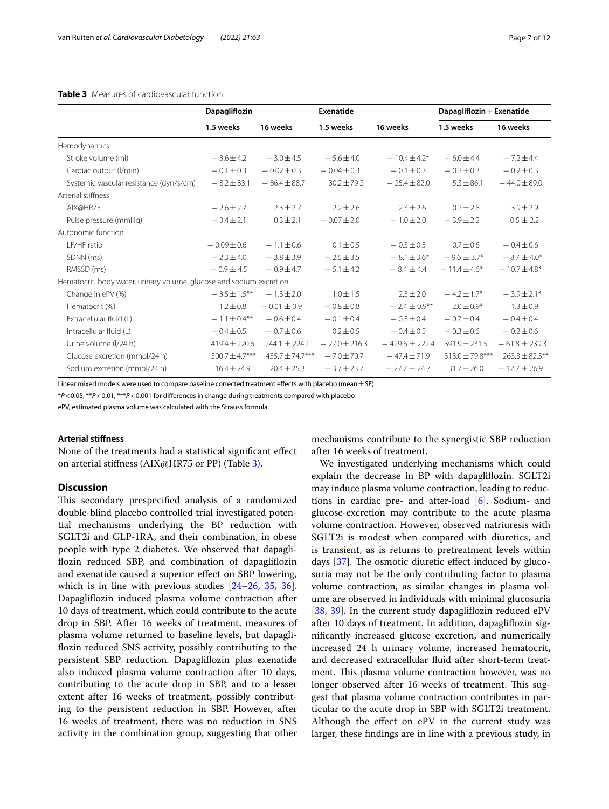# <span id="page-6-0"></span>**Table 3** Measures of cardiovascular function

|                                                                      | Dapagliflozin      |                     | Exenatide         |                    | $Dapagliflozin + Exenatide$ |                     |
|----------------------------------------------------------------------|--------------------|---------------------|-------------------|--------------------|-----------------------------|---------------------|
|                                                                      | 1.5 weeks          | 16 weeks            | 1.5 weeks         | 16 weeks           | 1.5 weeks                   | 16 weeks            |
| Hemodynamics                                                         |                    |                     |                   |                    |                             |                     |
| Stroke volume (ml)                                                   | $-3.6 \pm 4.2$     | $-3.0 \pm 4.5$      | $-5.6 \pm 4.0$    | $-10.4 + 4.2*$     | $-6.0 \pm 4.4$              | $-7.2 \pm 4.4$      |
| Cardiac output (I/min)                                               | $-0.1 \pm 0.3$     | $-0.02 \pm 0.3$     | $-0.04 \pm 0.3$   | $-0.1 \pm 0.3$     | $-0.2 \pm 0.3$              | $-0.2 \pm 0.3$      |
| Systemic vascular resistance (dyn/s/cm)                              | $-8.2 \pm 83.1$    | $-86.4 \pm 88.7$    | $30.2 \pm 79.2$   | $-25.4 \pm 82.0$   | $5.3 \pm 86.1$              | $-44.0 \pm 89.0$    |
| Arterial stiffness                                                   |                    |                     |                   |                    |                             |                     |
| AIX@HR75                                                             | $-2.6 \pm 2.7$     | $2.3 \pm 2.7$       | $2.2 \pm 2.6$     | $2.3 \pm 2.6$      | $0.2 \pm 2.8$               | $3.9 \pm 2.9$       |
| Pulse pressure (mmHg)                                                | $-3.4 \pm 2.1$     | $0.3 \pm 2.1$       | $-0.07 \pm 2.0$   | $-1.0 \pm 2.0$     | $-3.9 \pm 2.2$              | $0.5 \pm 2.2$       |
| Autonomic function                                                   |                    |                     |                   |                    |                             |                     |
| LF/HF ratio                                                          | $-0.09 \pm 0.6$    | $-1.1 \pm 0.6$      | $0.1 \pm 0.5$     | $-0.3 \pm 0.5$     | $0.7 \pm 0.6$               | $-0.4 \pm 0.6$      |
| SDNN (ms)                                                            | $-2.3 \pm 4.0$     | $-3.8 \pm 3.9$      | $-2.5 \pm 3.5$    | $-8.1 \pm 3.6*$    | $-9.6 + 3.7*$               | $-8.7 \pm 4.0*$     |
| RMSSD (ms)                                                           | $-0.9 \pm 4.5$     | $-0.9 \pm 4.7$      | $-5.1 \pm 4.2$    | $-8.4 \pm 4.4$     | $-11.4 \pm 4.6*$            | $-10.7 \pm 4.8*$    |
| Hematocrit, body water, urinary volume, glucose and sodium excretion |                    |                     |                   |                    |                             |                     |
| Change in ePV (%)                                                    | $-3.5 \pm 1.5$ **  | $-1.3 \pm 2.0$      | $1.0 \pm 1.5$     | $2.5 \pm 2.0$      | $-4.2 \pm 1.7$ *            | $-3.9 \pm 2.1*$     |
| Hematocrit (%)                                                       | $1.2 \pm 0.8$      | $-0.01 \pm 0.9$     | $-0.8 \pm 0.8$    | $-2.4 \pm 0.9$ **  | $2.0 \pm 0.9*$              | $1.3 \pm 0.9$       |
| Extracellular fluid (L)                                              | $-1.1 \pm 0.4$ **  | $-0.6 \pm 0.4$      | $-0.1 \pm 0.4$    | $-0.3 \pm 0.4$     | $-0.7 \pm 0.4$              | $-0.4 \pm 0.4$      |
| Intracellular fluid (L)                                              | $-0.4 \pm 0.5$     | $-0.7 \pm 0.6$      | $0.2 \pm 0.5$     | $-0.4 \pm 0.5$     | $-0.3 \pm 0.6$              | $-0.2 \pm 0.6$      |
| Urine volume (I/24 h)                                                | $419.4 \pm 220.6$  | $244.1 \pm 224.1$   | $-27.0 \pm 216.3$ | $-429.6 \pm 222.4$ | $391.9 \pm 231.5$           | $-61.8 \pm 239.3$   |
| Glucose excretion (mmol/24 h)                                        | $500.7 \pm 4.7***$ | $455.7 \pm 74.7***$ | $-7.0 \pm 70.7$   | $-47.4 \pm 71.9$   | 313.0 ± 79.8***             | $263.3 \pm 82.5$ ** |
| Sodium excretion (mmol/24 h)                                         | $16.4 \pm 24.9$    | $20.4 \pm 25.3$     | $-3.7 \pm 23.7$   | $-27.7 \pm 24.7$   | $31.7 \pm 26.0$             | $-12.7 \pm 26.9$    |

Linear mixed models were used to compare baseline corrected treatment effects with placebo (mean  $\pm$  SE)

\**P*<0.05; \*\**P*<0.01; \*\*\**P*<0.001 for diferences in change during treatments compared with placebo

ePV, estimated plasma volume was calculated with the Strauss formula

# **Arterial stifness**

None of the treatments had a statistical signifcant efect on arterial stifness (AIX@HR75 or PP) (Table [3\)](#page-6-0).

## **Discussion**

This secondary prespecified analysis of a randomized double-blind placebo controlled trial investigated potential mechanisms underlying the BP reduction with SGLT2i and GLP-1RA, and their combination, in obese people with type 2 diabetes. We observed that dapaglifozin reduced SBP, and combination of dapaglifozin and exenatide caused a superior efect on SBP lowering, which is in line with previous studies [[24–](#page-10-7)[26](#page-10-8), [35,](#page-10-16) [36](#page-10-17)]. Dapaglifozin induced plasma volume contraction after 10 days of treatment, which could contribute to the acute drop in SBP. After 16 weeks of treatment, measures of plasma volume returned to baseline levels, but dapaglifozin reduced SNS activity, possibly contributing to the persistent SBP reduction. Dapaglifozin plus exenatide also induced plasma volume contraction after 10 days, contributing to the acute drop in SBP, and to a lesser extent after 16 weeks of treatment, possibly contributing to the persistent reduction in SBP. However, after 16 weeks of treatment, there was no reduction in SNS activity in the combination group, suggesting that other mechanisms contribute to the synergistic SBP reduction after 16 weeks of treatment.

We investigated underlying mechanisms which could explain the decrease in BP with dapaglifozin. SGLT2i may induce plasma volume contraction, leading to reductions in cardiac pre- and after-load [[6\]](#page-9-4). Sodium- and glucose-excretion may contribute to the acute plasma volume contraction. However, observed natriuresis with SGLT2i is modest when compared with diuretics, and is transient, as is returns to pretreatment levels within days  $[37]$  $[37]$ . The osmotic diuretic effect induced by glucosuria may not be the only contributing factor to plasma volume contraction, as similar changes in plasma volume are observed in individuals with minimal glucosuria [[38,](#page-10-19) [39](#page-10-20)]. In the current study dapagliflozin reduced ePV after 10 days of treatment. In addition, dapaglifozin signifcantly increased glucose excretion, and numerically increased 24 h urinary volume, increased hematocrit, and decreased extracellular fuid after short-term treatment. This plasma volume contraction however, was no longer observed after 16 weeks of treatment. This suggest that plasma volume contraction contributes in particular to the acute drop in SBP with SGLT2i treatment. Although the effect on ePV in the current study was larger, these fndings are in line with a previous study, in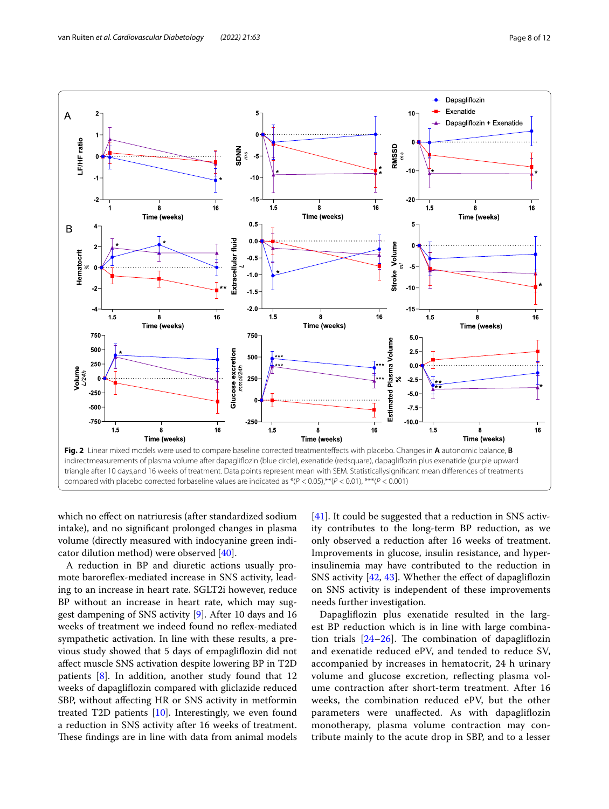

<span id="page-7-0"></span>which no efect on natriuresis (after standardized sodium intake), and no signifcant prolonged changes in plasma volume (directly measured with indocyanine green indicator dilution method) were observed [\[40](#page-10-21)].

A reduction in BP and diuretic actions usually promote barorefex-mediated increase in SNS activity, leading to an increase in heart rate. SGLT2i however, reduce BP without an increase in heart rate, which may suggest dampening of SNS activity [[9\]](#page-9-11). After 10 days and 16 weeks of treatment we indeed found no refex-mediated sympathetic activation. In line with these results, a previous study showed that 5 days of empaglifozin did not afect muscle SNS activation despite lowering BP in T2D patients [\[8](#page-9-7)]. In addition, another study found that 12 weeks of dapaglifozin compared with gliclazide reduced SBP, without afecting HR or SNS activity in metformin treated T2D patients [[10\]](#page-9-8). Interestingly, we even found a reduction in SNS activity after 16 weeks of treatment. These findings are in line with data from animal models [[41\]](#page-10-22). It could be suggested that a reduction in SNS activity contributes to the long-term BP reduction, as we only observed a reduction after 16 weeks of treatment. Improvements in glucose, insulin resistance, and hyperinsulinemia may have contributed to the reduction in SNS activity [\[42](#page-10-23), [43\]](#page-10-24). Whether the efect of dapaglifozin on SNS activity is independent of these improvements needs further investigation.

Dapaglifozin plus exenatide resulted in the largest BP reduction which is in line with large combination trials  $[24-26]$  $[24-26]$  $[24-26]$ . The combination of dapagliflozin and exenatide reduced ePV, and tended to reduce SV, accompanied by increases in hematocrit, 24 h urinary volume and glucose excretion, refecting plasma volume contraction after short-term treatment. After 16 weeks, the combination reduced ePV, but the other parameters were unafected. As with dapaglifozin monotherapy, plasma volume contraction may contribute mainly to the acute drop in SBP, and to a lesser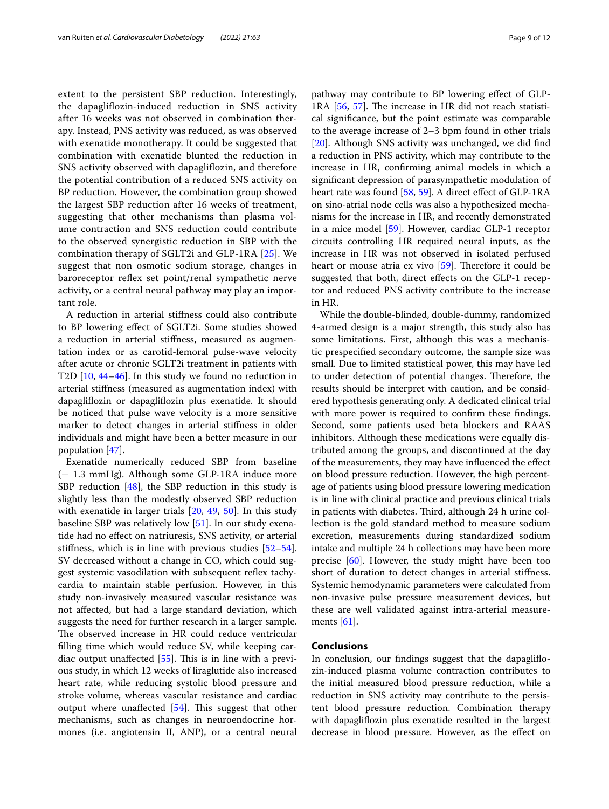extent to the persistent SBP reduction. Interestingly, the dapaglifozin-induced reduction in SNS activity after 16 weeks was not observed in combination therapy. Instead, PNS activity was reduced, as was observed with exenatide monotherapy. It could be suggested that combination with exenatide blunted the reduction in SNS activity observed with dapaglifozin, and therefore the potential contribution of a reduced SNS activity on BP reduction. However, the combination group showed the largest SBP reduction after 16 weeks of treatment, suggesting that other mechanisms than plasma volume contraction and SNS reduction could contribute to the observed synergistic reduction in SBP with the combination therapy of SGLT2i and GLP-1RA [\[25](#page-10-6)]. We suggest that non osmotic sodium storage, changes in baroreceptor reflex set point/renal sympathetic nerve activity, or a central neural pathway may play an important role.

A reduction in arterial stifness could also contribute to BP lowering efect of SGLT2i. Some studies showed a reduction in arterial stifness, measured as augmentation index or as carotid-femoral pulse-wave velocity after acute or chronic SGLT2i treatment in patients with T2D [\[10](#page-9-8), [44](#page-10-25)[–46](#page-10-26)]. In this study we found no reduction in arterial stifness (measured as augmentation index) with dapaglifozin or dapaglifozin plus exenatide. It should be noticed that pulse wave velocity is a more sensitive marker to detect changes in arterial stifness in older individuals and might have been a better measure in our population [[47\]](#page-10-27).

Exenatide numerically reduced SBP from baseline (− 1.3 mmHg). Although some GLP-1RA induce more SBP reduction  $[48]$  $[48]$  $[48]$ , the SBP reduction in this study is slightly less than the modestly observed SBP reduction with exenatide in larger trials [\[20](#page-10-29), [49,](#page-10-30) [50](#page-10-31)]. In this study baseline SBP was relatively low [\[51](#page-11-0)]. In our study exenatide had no efect on natriuresis, SNS activity, or arterial stifness, which is in line with previous studies [[52](#page-11-1)[–54](#page-11-2)]. SV decreased without a change in CO, which could suggest systemic vasodilation with subsequent refex tachycardia to maintain stable perfusion. However, in this study non-invasively measured vascular resistance was not afected, but had a large standard deviation, which suggests the need for further research in a larger sample. The observed increase in HR could reduce ventricular flling time which would reduce SV, while keeping cardiac output unaffected  $[55]$  $[55]$ . This is in line with a previous study, in which 12 weeks of liraglutide also increased heart rate, while reducing systolic blood pressure and stroke volume, whereas vascular resistance and cardiac output where unaffected  $[54]$ . This suggest that other mechanisms, such as changes in neuroendocrine hormones (i.e. angiotensin II, ANP), or a central neural pathway may contribute to BP lowering efect of GLP-1RA  $[56, 57]$  $[56, 57]$  $[56, 57]$  $[56, 57]$ . The increase in HR did not reach statistical signifcance, but the point estimate was comparable to the average increase of 2–3 bpm found in other trials [[20\]](#page-10-29). Although SNS activity was unchanged, we did fnd a reduction in PNS activity, which may contribute to the increase in HR, confrming animal models in which a signifcant depression of parasympathetic modulation of heart rate was found [[58,](#page-11-6) [59](#page-11-7)]. A direct effect of GLP-1RA on sino-atrial node cells was also a hypothesized mechanisms for the increase in HR, and recently demonstrated in a mice model [[59\]](#page-11-7). However, cardiac GLP-1 receptor circuits controlling HR required neural inputs, as the increase in HR was not observed in isolated perfused heart or mouse atria ex vivo  $[59]$  $[59]$ . Therefore it could be suggested that both, direct efects on the GLP-1 receptor and reduced PNS activity contribute to the increase in HR.

While the double-blinded, double-dummy, randomized 4-armed design is a major strength, this study also has some limitations. First, although this was a mechanistic prespecifed secondary outcome, the sample size was small. Due to limited statistical power, this may have led to under detection of potential changes. Therefore, the results should be interpret with caution, and be considered hypothesis generating only. A dedicated clinical trial with more power is required to confrm these fndings. Second, some patients used beta blockers and RAAS inhibitors. Although these medications were equally distributed among the groups, and discontinued at the day of the measurements, they may have infuenced the efect on blood pressure reduction. However, the high percentage of patients using blood pressure lowering medication is in line with clinical practice and previous clinical trials in patients with diabetes. Third, although 24 h urine collection is the gold standard method to measure sodium excretion, measurements during standardized sodium intake and multiple 24 h collections may have been more precise [[60](#page-11-8)]. However, the study might have been too short of duration to detect changes in arterial stifness. Systemic hemodynamic parameters were calculated from non-invasive pulse pressure measurement devices, but these are well validated against intra-arterial measurements [\[61](#page-11-9)].

# **Conclusions**

In conclusion, our fndings suggest that the dapaglifozin-induced plasma volume contraction contributes to the initial measured blood pressure reduction, while a reduction in SNS activity may contribute to the persistent blood pressure reduction. Combination therapy with dapaglifozin plus exenatide resulted in the largest decrease in blood pressure. However, as the efect on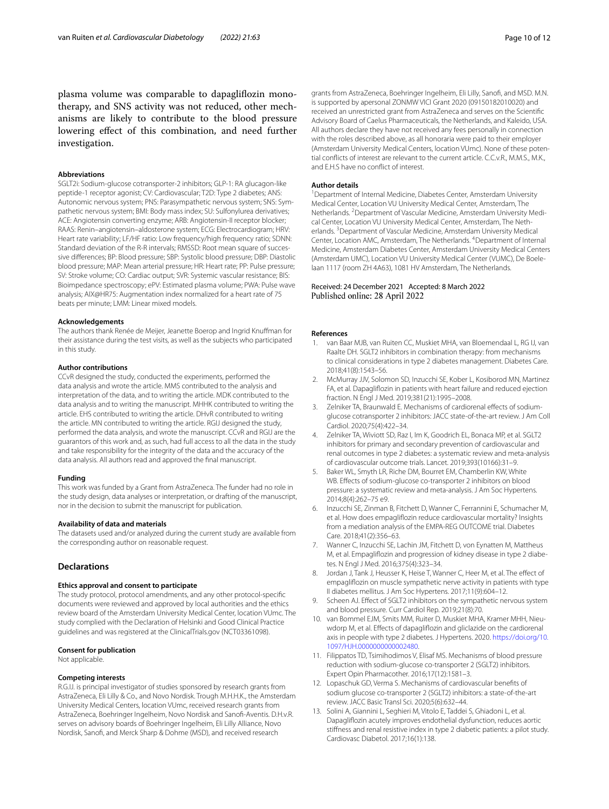#### **Abbreviations**

SGLT2i: Sodium-glucose cotransporter-2 inhibitors; GLP-1: RA glucagon-like peptide-1 receptor agonist; CV: Cardiovascular; T2D: Type 2 diabetes; ANS: Autonomic nervous system; PNS: Parasympathetic nervous system; SNS: Sympathetic nervous system; BMI: Body mass index; SU: Sulfonylurea derivatives; ACE: Angiotensin converting enzyme; ARB: Angiotensin-II receptor blocker; RAAS: Renin–angiotensin–aldosterone system; ECG: Electrocardiogram; HRV: Heart rate variability; LF/HF ratio: Low frequency/high frequency ratio; SDNN: Standard deviation of the R-R intervals; RMSSD: Root mean square of successive diferences; BP: Blood pressure; SBP: Systolic blood pressure; DBP: Diastolic blood pressure; MAP: Mean arterial pressure; HR: Heart rate; PP: Pulse pressure; SV: Stroke volume; CO: Cardiac output; SVR: Systemic vascular resistance; BIS: Bioimpedance spectroscopy; ePV: Estimated plasma volume; PWA: Pulse wave analysis; AIX@HR75: Augmentation index normalized for a heart rate of 75 beats per minute; LMM: Linear mixed models.

#### **Acknowledgements**

The authors thank Renée de Meijer, Jeanette Boerop and Ingrid Knufman for their assistance during the test visits, as well as the subjects who participated in this study.

#### **Author contributions**

CCvR designed the study, conducted the experiments, performed the data analysis and wrote the article. MMS contributed to the analysis and interpretation of the data, and to writing the article. MDK contributed to the data analysis and to writing the manuscript. MHHK contributed to writing the article. EHS contributed to writing the article. DHvR contributed to writing the article. MN contributed to writing the article. RGIJ designed the study, performed the data analysis, and wrote the manuscript. CCvR and RGIJ are the guarantors of this work and, as such, had full access to all the data in the study and take responsibility for the integrity of the data and the accuracy of the data analysis. All authors read and approved the fnal manuscript.

## **Funding**

This work was funded by a Grant from AstraZeneca. The funder had no role in the study design, data analyses or interpretation, or drafting of the manuscript, nor in the decision to submit the manuscript for publication.

#### **Availability of data and materials**

The datasets used and/or analyzed during the current study are available from the corresponding author on reasonable request.

# **Declarations**

#### **Ethics approval and consent to participate**

The study protocol, protocol amendments, and any other protocol-specifc documents were reviewed and approved by local authorities and the ethics review board of the Amsterdam University Medical Center, location VUmc. The study complied with the Declaration of Helsinki and Good Clinical Practice guidelines and was registered at the ClinicalTrials.gov (NCT03361098).

## **Consent for publication**

Not applicable.

#### **Competing interests**

R.G.IJ. is principal investigator of studies sponsored by research grants from AstraZeneca, Eli Lilly & Co., and Novo Nordisk. Trough M.H.H.K., the Amsterdam University Medical Centers, location VUmc, received research grants from AstraZeneca, Boehringer Ingelheim, Novo Nordisk and Sanof-Aventis. D.H.v.R. serves on advisory boards of Boehringer Ingelheim, Eli Lilly Alliance, Novo Nordisk, Sanof, and Merck Sharp & Dohme (MSD), and received research

grants from AstraZeneca, Boehringer Ingelheim, Eli Lilly, Sanof, and MSD. M.N. is supported by apersonal ZONMW VICI Grant 2020 (09150182010020) and received an unrestricted grant from AstraZeneca and serves on the Scientifc Advisory Board of Caelus Pharmaceuticals, the Netherlands, and Kaleido, USA. All authors declare they have not received any fees personally in connection with the roles described above, as all honoraria were paid to their employer (Amsterdam University Medical Centers, location VUmc). None of these potential conficts of interest are relevant to the current article. C.C.v.R., M.M.S., M.K., and E.H.S have no confict of interest.

#### **Author details**

<sup>1</sup> Department of Internal Medicine, Diabetes Center, Amsterdam University Medical Center, Location VU University Medical Center, Amsterdam, The Netherlands. <sup>2</sup> Department of Vascular Medicine, Amsterdam University Medical Center, Location VU University Medical Center, Amsterdam, The Netherlands.<sup>3</sup> Department of Vascular Medicine, Amsterdam University Medical Center, Location AMC, Amsterdam, The Netherlands. <sup>4</sup> Department of Internal Medicine, Amsterdam Diabetes Center, Amsterdam University Medical Centers (Amsterdam UMC), Location VU University Medical Center (VUMC), De Boelelaan 1117 (room ZH 4A63), 1081 HV Amsterdam, The Netherlands.

## Received: 24 December 2021 Accepted: 8 March 2022 Published online: 28 April 2022

#### **References**

- <span id="page-9-0"></span>1. van Baar MJB, van Ruiten CC, Muskiet MHA, van Bloemendaal L, RG IJ, van Raalte DH. SGLT2 inhibitors in combination therapy: from mechanisms to clinical considerations in type 2 diabetes management. Diabetes Care. 2018;41(8):1543–56.
- <span id="page-9-1"></span>2. McMurray JJV, Solomon SD, Inzucchi SE, Kober L, Kosiborod MN, Martinez FA, et al. Dapaglifozin in patients with heart failure and reduced ejection fraction. N Engl J Med. 2019;381(21):1995–2008.
- <span id="page-9-6"></span>3. Zelniker TA, Braunwald E. Mechanisms of cardiorenal efects of sodiumglucose cotransporter 2 inhibitors: JACC state-of-the-art review. J Am Coll Cardiol. 2020;75(4):422–34.
- <span id="page-9-2"></span>4. Zelniker TA, Wiviott SD, Raz I, Im K, Goodrich EL, Bonaca MP, et al. SGLT2 inhibitors for primary and secondary prevention of cardiovascular and renal outcomes in type 2 diabetes: a systematic review and meta-analysis of cardiovascular outcome trials. Lancet. 2019;393(10166):31–9.
- <span id="page-9-3"></span>5. Baker WL, Smyth LR, Riche DM, Bourret EM, Chamberlin KW, White WB. Effects of sodium-glucose co-transporter 2 inhibitors on blood pressure: a systematic review and meta-analysis. J Am Soc Hypertens. 2014;8(4):262–75 e9.
- <span id="page-9-4"></span>6. Inzucchi SE, Zinman B, Fitchett D, Wanner C, Ferrannini E, Schumacher M, et al. How does empaglifozin reduce cardiovascular mortality? Insights from a mediation analysis of the EMPA-REG OUTCOME trial. Diabetes Care. 2018;41(2):356–63.
- <span id="page-9-5"></span>7. Wanner C, Inzucchi SE, Lachin JM, Fitchett D, von Eynatten M, Mattheus M, et al. Empaglifozin and progression of kidney disease in type 2 diabetes. N Engl J Med. 2016;375(4):323–34.
- <span id="page-9-7"></span>8. Jordan J, Tank J, Heusser K, Heise T, Wanner C, Heer M, et al. The effect of empaglifozin on muscle sympathetic nerve activity in patients with type II diabetes mellitus. J Am Soc Hypertens. 2017;11(9):604–12.
- <span id="page-9-11"></span>9. Scheen AJ. Efect of SGLT2 inhibitors on the sympathetic nervous system and blood pressure. Curr Cardiol Rep. 2019;21(8):70.
- <span id="page-9-8"></span>10. van Bommel EJM, Smits MM, Ruiter D, Muskiet MHA, Kramer MHH, Nieuwdorp M, et al. Efects of dapaglifozin and gliclazide on the cardiorenal axis in people with type 2 diabetes. J Hypertens. 2020. [https://doi.org/10.](https://doi.org/10.1097/HJH.0000000000002480) [1097/HJH.0000000000002480.](https://doi.org/10.1097/HJH.0000000000002480)
- <span id="page-9-9"></span>11. Filippatos TD, Tsimihodimos V, Elisaf MS. Mechanisms of blood pressure reduction with sodium-glucose co-transporter 2 (SGLT2) inhibitors. Expert Opin Pharmacother. 2016;17(12):1581–3.
- 12. Lopaschuk GD, Verma S. Mechanisms of cardiovascular benefts of sodium glucose co-transporter 2 (SGLT2) inhibitors: a state-of-the-art review. JACC Basic Transl Sci. 2020;5(6):632–44.
- <span id="page-9-10"></span>13. Solini A, Giannini L, Seghieri M, Vitolo E, Taddei S, Ghiadoni L, et al. Dapaglifozin acutely improves endothelial dysfunction, reduces aortic stifness and renal resistive index in type 2 diabetic patients: a pilot study. Cardiovasc Diabetol. 2017;16(1):138.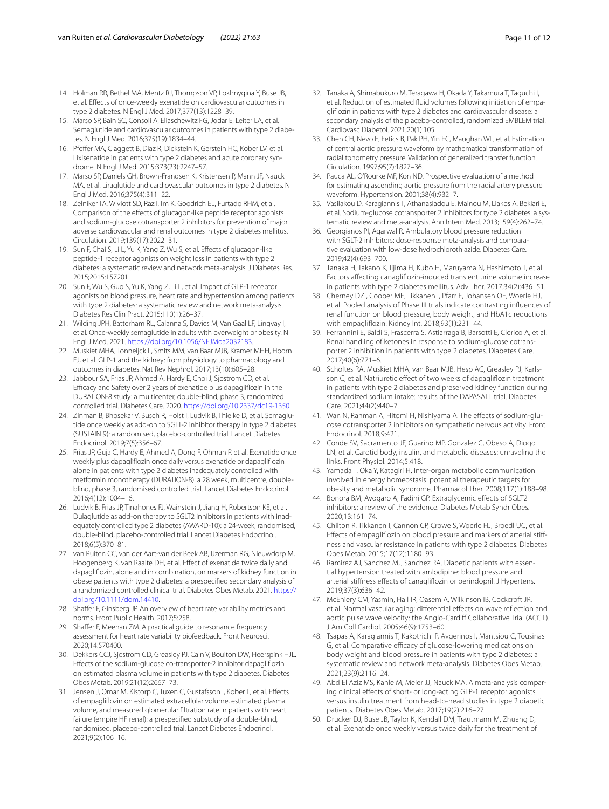- <span id="page-10-0"></span>14. Holman RR, Bethel MA, Mentz RJ, Thompson VP, Lokhnygina Y, Buse JB, et al. Efects of once-weekly exenatide on cardiovascular outcomes in type 2 diabetes. N Engl J Med. 2017;377(13):1228–39.
- 15. Marso SP, Bain SC, Consoli A, Eliaschewitz FG, Jodar E, Leiter LA, et al. Semaglutide and cardiovascular outcomes in patients with type 2 diabetes. N Engl J Med. 2016;375(19):1834–44.
- 16. Pfefer MA, Claggett B, Diaz R, Dickstein K, Gerstein HC, Kober LV, et al. Lixisenatide in patients with type 2 diabetes and acute coronary syndrome. N Engl J Med. 2015;373(23):2247–57.
- 17. Marso SP, Daniels GH, Brown-Frandsen K, Kristensen P, Mann JF, Nauck MA, et al. Liraglutide and cardiovascular outcomes in type 2 diabetes. N Engl J Med. 2016;375(4):311–22.
- <span id="page-10-1"></span>18. Zelniker TA, Wiviott SD, Raz I, Im K, Goodrich EL, Furtado RHM, et al. Comparison of the efects of glucagon-like peptide receptor agonists and sodium-glucose cotransporter 2 inhibitors for prevention of major adverse cardiovascular and renal outcomes in type 2 diabetes mellitus. Circulation. 2019;139(17):2022–31.
- <span id="page-10-2"></span>19. Sun F, Chai S, Li L, Yu K, Yang Z, Wu S, et al. Efects of glucagon-like peptide-1 receptor agonists on weight loss in patients with type 2 diabetes: a systematic review and network meta-analysis. J Diabetes Res. 2015;2015:157201.
- <span id="page-10-29"></span>20. Sun F, Wu S, Guo S, Yu K, Yang Z, Li L, et al. Impact of GLP-1 receptor agonists on blood pressure, heart rate and hypertension among patients with type 2 diabetes: a systematic review and network meta-analysis. Diabetes Res Clin Pract. 2015;110(1):26–37.
- <span id="page-10-3"></span>21. Wilding JPH, Batterham RL, Calanna S, Davies M, Van Gaal LF, Lingvay I, et al. Once-weekly semaglutide in adults with overweight or obesity. N Engl J Med. 2021. [https://doi.org/10.1056/NEJMoa2032183.](https://doi.org/10.1056/NEJMoa2032183)
- <span id="page-10-4"></span>22. Muskiet MHA, Tonneijck L, Smits MM, van Baar MJB, Kramer MHH, Hoorn EJ, et al. GLP-1 and the kidney: from physiology to pharmacology and outcomes in diabetes. Nat Rev Nephrol. 2017;13(10):605–28.
- <span id="page-10-5"></span>23. Jabbour SA, Frias JP, Ahmed A, Hardy E, Choi J, Sjostrom CD, et al. Efficacy and Safety over 2 years of exenatide plus dapagliflozin in the DURATION-8 study: a multicenter, double-blind, phase 3, randomized controlled trial. Diabetes Care. 2020. <https://doi.org/10.2337/dc19-1350>.
- <span id="page-10-7"></span>24. Zinman B, Bhosekar V, Busch R, Holst I, Ludvik B, Thielke D, et al. Semaglutide once weekly as add-on to SGLT-2 inhibitor therapy in type 2 diabetes (SUSTAIN 9): a randomised, placebo-controlled trial. Lancet Diabetes Endocrinol. 2019;7(5):356–67.
- <span id="page-10-6"></span>25. Frias JP, Guja C, Hardy E, Ahmed A, Dong F, Ohman P, et al. Exenatide once weekly plus dapaglifozin once daily versus exenatide or dapaglifozin alone in patients with type 2 diabetes inadequately controlled with metformin monotherapy (DURATION-8): a 28 week, multicentre, doubleblind, phase 3, randomised controlled trial. Lancet Diabetes Endocrinol. 2016;4(12):1004–16.
- <span id="page-10-8"></span>26. Ludvik B, Frias JP, Tinahones FJ, Wainstein J, Jiang H, Robertson KE, et al. Dulaglutide as add-on therapy to SGLT2 inhibitors in patients with inadequately controlled type 2 diabetes (AWARD-10): a 24-week, randomised, double-blind, placebo-controlled trial. Lancet Diabetes Endocrinol. 2018;6(5):370–81.
- <span id="page-10-9"></span>27. van Ruiten CC, van der Aart-van der Beek AB, IJzerman RG, Nieuwdorp M, Hoogenberg K, van Raalte DH, et al. Efect of exenatide twice daily and dapaglifozin, alone and in combination, on markers of kidney function in obese patients with type 2 diabetes: a prespecifed secondary analysis of a randomized controlled clinical trial. Diabetes Obes Metab. 2021. [https://](https://doi.org/10.1111/dom.14410) [doi.org/10.1111/dom.14410](https://doi.org/10.1111/dom.14410).
- <span id="page-10-10"></span>28. Shaffer F, Ginsberg JP. An overview of heart rate variability metrics and norms. Front Public Health. 2017;5:258.
- <span id="page-10-11"></span>29. Shaffer F, Meehan ZM. A practical guide to resonance frequency assessment for heart rate variability biofeedback. Front Neurosci. 2020;14:570400.
- <span id="page-10-12"></span>30. Dekkers CCJ, Sjostrom CD, Greasley PJ, Cain V, Boulton DW, Heerspink HJL. Efects of the sodium-glucose co-transporter-2 inhibitor dapaglifozin on estimated plasma volume in patients with type 2 diabetes. Diabetes Obes Metab. 2019;21(12):2667–73.
- 31. Jensen J, Omar M, Kistorp C, Tuxen C, Gustafsson I, Kober L, et al. Efects of empaglifozin on estimated extracellular volume, estimated plasma volume, and measured glomerular fltration rate in patients with heart failure (empire HF renal): a prespecifed substudy of a double-blind, randomised, placebo-controlled trial. Lancet Diabetes Endocrinol. 2021;9(2):106–16.
- <span id="page-10-13"></span>32. Tanaka A, Shimabukuro M, Teragawa H, Okada Y, Takamura T, Taguchi I, et al. Reduction of estimated fuid volumes following initiation of empaglifozin in patients with type 2 diabetes and cardiovascular disease: a secondary analysis of the placebo-controlled, randomized EMBLEM trial. Cardiovasc Diabetol. 2021;20(1):105.
- <span id="page-10-14"></span>33. Chen CH, Nevo E, Fetics B, Pak PH, Yin FC, Maughan WL, et al. Estimation of central aortic pressure waveform by mathematical transformation of radial tonometry pressure. Validation of generalized transfer function. Circulation. 1997;95(7):1827–36.
- <span id="page-10-15"></span>34. Pauca AL, O'Rourke MF, Kon ND. Prospective evaluation of a method for estimating ascending aortic pressure from the radial artery pressure waveform. Hypertension. 2001;38(4):932–7.
- <span id="page-10-16"></span>35. Vasilakou D, Karagiannis T, Athanasiadou E, Mainou M, Liakos A, Bekiari E, et al. Sodium-glucose cotransporter 2 inhibitors for type 2 diabetes: a systematic review and meta-analysis. Ann Intern Med. 2013;159(4):262–74.
- <span id="page-10-17"></span>36. Georgianos PI, Agarwal R. Ambulatory blood pressure reduction with SGLT-2 inhibitors: dose-response meta-analysis and comparative evaluation with low-dose hydrochlorothiazide. Diabetes Care. 2019;42(4):693–700.
- <span id="page-10-18"></span>37. Tanaka H, Takano K, Iijima H, Kubo H, Maruyama N, Hashimoto T, et al. Factors afecting canaglifozin-induced transient urine volume increase in patients with type 2 diabetes mellitus. Adv Ther. 2017;34(2):436–51.
- <span id="page-10-19"></span>38. Cherney DZI, Cooper ME, Tikkanen I, Pfarr E, Johansen OE, Woerle HJ, et al. Pooled analysis of Phase III trials indicate contrasting infuences of renal function on blood pressure, body weight, and HbA1c reductions with empaglifozin. Kidney Int. 2018;93(1):231–44.
- <span id="page-10-20"></span>39. Ferrannini E, Baldi S, Frascerra S, Astiarraga B, Barsotti E, Clerico A, et al. Renal handling of ketones in response to sodium-glucose cotransporter 2 inhibition in patients with type 2 diabetes. Diabetes Care. 2017;40(6):771–6.
- <span id="page-10-21"></span>40. Scholtes RA, Muskiet MHA, van Baar MJB, Hesp AC, Greasley PJ, Karlsson C, et al. Natriuretic effect of two weeks of dapagliflozin treatment in patients with type 2 diabetes and preserved kidney function during standardized sodium intake: results of the DAPASALT trial. Diabetes Care. 2021;44(2):440–7.
- <span id="page-10-22"></span>41. Wan N, Rahman A, Hitomi H, Nishiyama A. The effects of sodium-glucose cotransporter 2 inhibitors on sympathetic nervous activity. Front Endocrinol. 2018;9:421.
- <span id="page-10-23"></span>42. Conde SV, Sacramento JF, Guarino MP, Gonzalez C, Obeso A, Diogo LN, et al. Carotid body, insulin, and metabolic diseases: unraveling the links. Front Physiol. 2014;5:418.
- <span id="page-10-24"></span>43. Yamada T, Oka Y, Katagiri H. Inter-organ metabolic communication involved in energy homeostasis: potential therapeutic targets for obesity and metabolic syndrome. Pharmacol Ther. 2008;117(1):188–98.
- <span id="page-10-25"></span>44. Bonora BM, Avogaro A, Fadini GP. Extraglycemic effects of SGLT2 inhibitors: a review of the evidence. Diabetes Metab Syndr Obes. 2020;13:161–74.
- 45. Chilton R, Tikkanen I, Cannon CP, Crowe S, Woerle HJ, Broedl UC, et al. Efects of empaglifozin on blood pressure and markers of arterial stifness and vascular resistance in patients with type 2 diabetes. Diabetes Obes Metab. 2015;17(12):1180–93.
- <span id="page-10-26"></span>46. Ramirez AJ, Sanchez MJ, Sanchez RA. Diabetic patients with essential hypertension treated with amlodipine: blood pressure and arterial stiffness effects of canagliflozin or perindopril. J Hypertens. 2019;37(3):636–42.
- <span id="page-10-27"></span>47. McEniery CM, Yasmin, Hall IR, Qasem A, Wilkinson IB, Cockcroft JR, et al. Normal vascular aging: diferential efects on wave refection and aortic pulse wave velocity: the Anglo-Cardif Collaborative Trial (ACCT). J Am Coll Cardiol. 2005;46(9):1753–60.
- <span id="page-10-28"></span>48. Tsapas A, Karagiannis T, Kakotrichi P, Avgerinos I, Mantsiou C, Tousinas G, et al. Comparative efficacy of glucose-lowering medications on body weight and blood pressure in patients with type 2 diabetes: a systematic review and network meta-analysis. Diabetes Obes Metab. 2021;23(9):2116–24.
- <span id="page-10-30"></span>49. Abd El Aziz MS, Kahle M, Meier JJ, Nauck MA. A meta-analysis comparing clinical efects of short- or long-acting GLP-1 receptor agonists versus insulin treatment from head-to-head studies in type 2 diabetic patients. Diabetes Obes Metab. 2017;19(2):216–27.
- <span id="page-10-31"></span>50. Drucker DJ, Buse JB, Taylor K, Kendall DM, Trautmann M, Zhuang D, et al. Exenatide once weekly versus twice daily for the treatment of